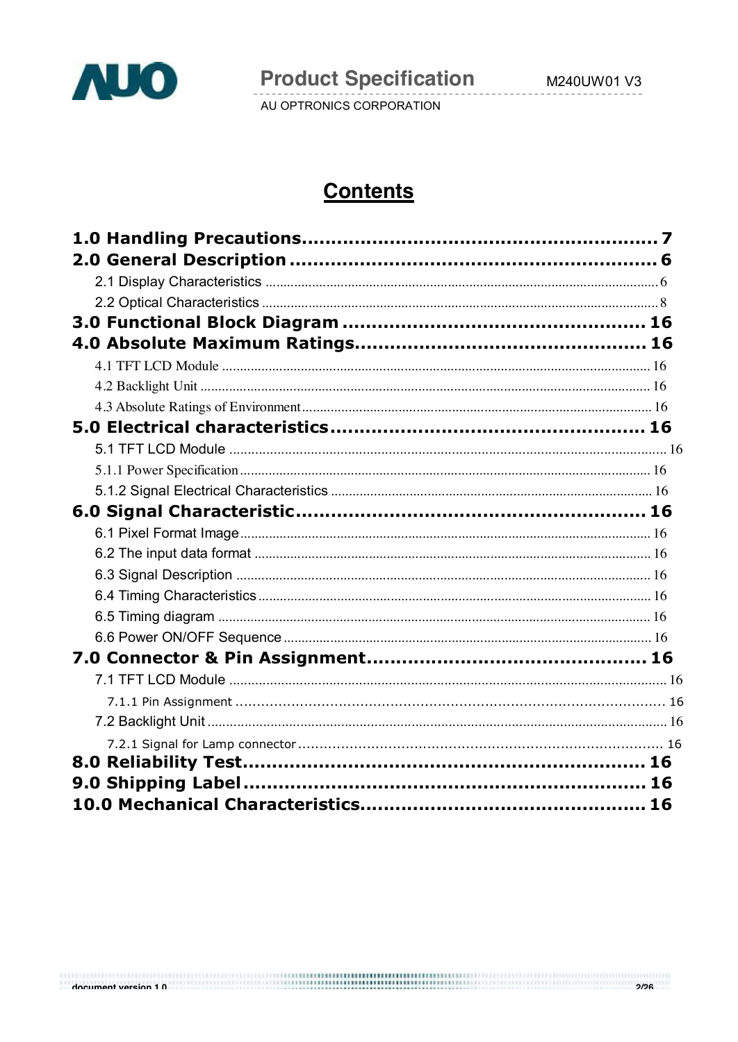

**Product Specification** 

AU OPTRONICS CORPORATION

# **Contents**

houmant varsion 1 A מים ומתוונות והיה המודינות והיה המודינות והיה המודינות והיה המודינות והיה המודינות והיה המ<br>לאלי המודינות היה המודינות המודינות המודינות המודינות המודינות המודינות המודינות המודינות המודינות המודינות המ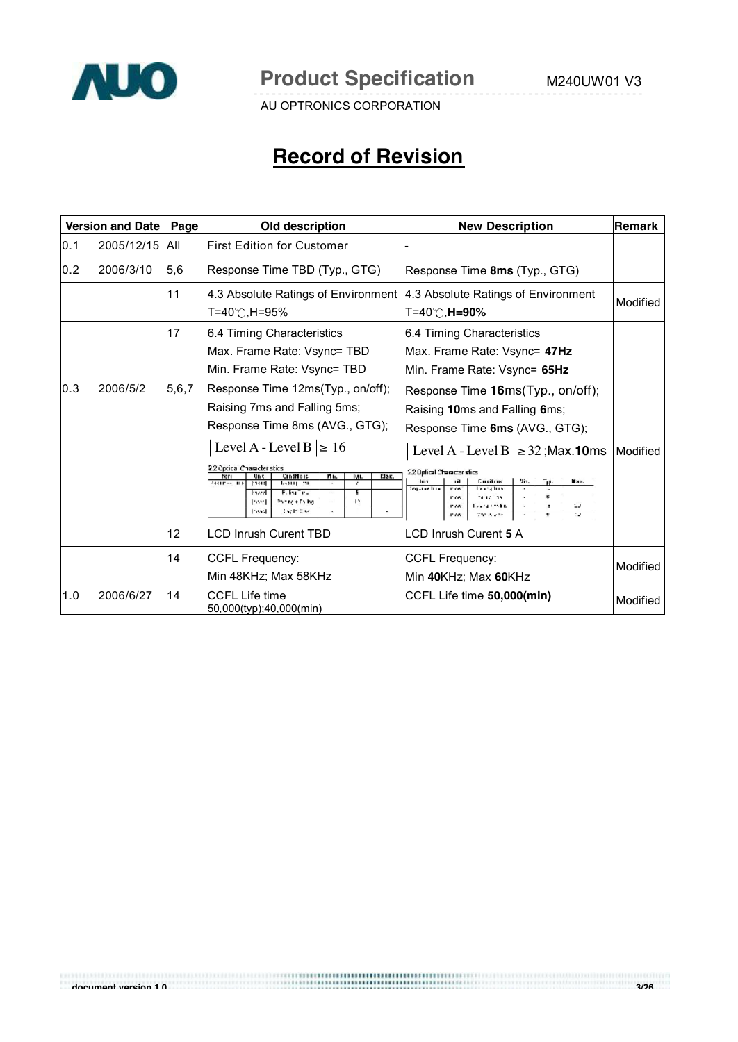

# **Record of Revision**

| <b>Version and Date</b><br>Page |            |       | Old description                                                                                                                                                                                                                                                                                                                                                          | <b>New Description</b>                                                                                                                                                                                                                                                                                                                                                                | ∣Remark  |
|---------------------------------|------------|-------|--------------------------------------------------------------------------------------------------------------------------------------------------------------------------------------------------------------------------------------------------------------------------------------------------------------------------------------------------------------------------|---------------------------------------------------------------------------------------------------------------------------------------------------------------------------------------------------------------------------------------------------------------------------------------------------------------------------------------------------------------------------------------|----------|
| 0.1                             | 2005/12/15 | All   | First Edition for Customer                                                                                                                                                                                                                                                                                                                                               |                                                                                                                                                                                                                                                                                                                                                                                       |          |
| 0.2                             | 2006/3/10  | 5,6   | Response Time TBD (Typ., GTG)                                                                                                                                                                                                                                                                                                                                            | Response Time 8ms (Typ., GTG)                                                                                                                                                                                                                                                                                                                                                         |          |
|                                 |            | 11    | 4.3 Absolute Ratings of Environment<br>T=40℃,H=95%                                                                                                                                                                                                                                                                                                                       | 4.3 Absolute Ratings of Environment<br>T=40℃, <b>H=90%</b>                                                                                                                                                                                                                                                                                                                            | Modified |
|                                 |            | 17    | 6.4 Timing Characteristics<br>Max. Frame Rate: Vsync= TBD<br>Min. Frame Rate: Vsync= TBD                                                                                                                                                                                                                                                                                 | 6.4 Timing Characteristics<br>Max. Frame Rate: Vsync= 47Hz<br>Min. Frame Rate: Vsync= 65Hz                                                                                                                                                                                                                                                                                            |          |
| 0.3                             | 2006/5/2   | 5,6,7 | Response Time 12ms(Typ., on/off);<br>Raising 7ms and Falling 5ms;<br>Response Time 8ms (AVG., GTG);<br>Level A - Level B $\geq 16$<br>2.2 Optical Character stics<br>Мак.<br>Herr<br><b>Candificis</b><br>Mн.<br><b>Unit</b><br>lyn.<br>Actives are<br>Press)<br>Learn one<br>$\cdot$<br>Fally True<br>20222<br>42.<br>Parte + Falling<br>Post<br>Dealer Older<br>Possi. | Response Time 16ms(Typ., on/off);<br>Raising 10ms and Falling 6ms;<br>Response Time 6ms (AVG., GTG);<br>Level A - Level B $\geq$ 32; Max. 10ms<br>2.2 Optical Character stics<br>Concilions<br>Ч'n.<br>пĦ<br>Max.<br>īн.<br>lun<br><b>Source line</b><br><b>Learna Basi</b><br><b>PYA</b><br>14.12.15<br>P.G.<br><b>Leads to the</b><br>P.G.<br>ш<br>tu.<br>The Algebra<br><b>PAR</b> | Modified |
|                                 |            | 12    | <b>LCD Inrush Curent TBD</b>                                                                                                                                                                                                                                                                                                                                             | <b>LCD Inrush Curent 5 A</b>                                                                                                                                                                                                                                                                                                                                                          |          |
|                                 |            | 14    | <b>CCFL Frequency:</b><br>Min 48KHz; Max 58KHz                                                                                                                                                                                                                                                                                                                           | <b>CCFL Frequency:</b><br>Min 40KHz; Max 60KHz                                                                                                                                                                                                                                                                                                                                        | Modified |
| 1.0                             | 2006/6/27  | 14    | <b>CCFL Life time</b><br>50,000(typ);40,000(min)                                                                                                                                                                                                                                                                                                                         | CCFL Life time 50,000(min)                                                                                                                                                                                                                                                                                                                                                            | Modified |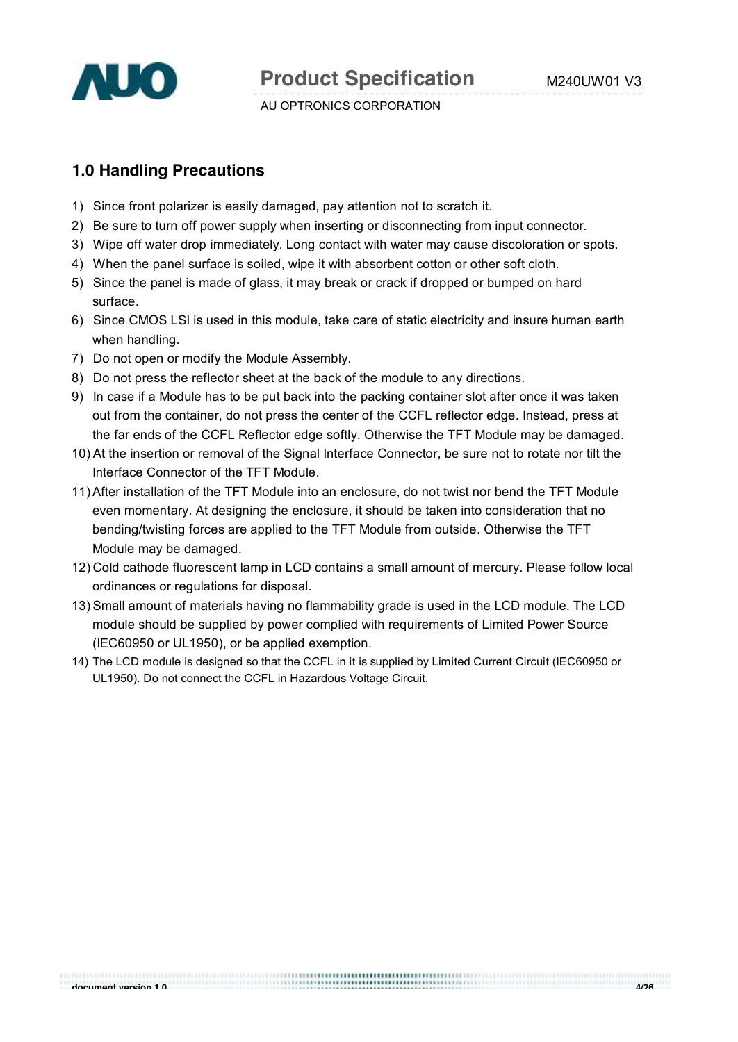

# **1.0 Handling Precautions**

- 1) Since front polarizer is easily damaged, pay attention not to scratch it.
- 2) Be sure to turn off power supply when inserting or disconnecting from input connector.
- 3) Wipe off water drop immediately. Long contact with water may cause discoloration or spots.
- 4) When the panel surface is soiled, wipe it with absorbent cotton or other soft cloth.
- 5) Since the panel is made of glass, it may break or crack if dropped or bumped on hard surface.
- 6) Since CMOS LSI is used in this module, take care of static electricity and insure human earth when handling.
- 7) Do not open or modify the Module Assembly.
- 8) Do not press the reflector sheet at the back of the module to any directions.
- 9) In case if a Module has to be put back into the packing container slot after once it was taken out from the container, do not press the center of the CCFL reflector edge. Instead, press at the far ends of the CCFL Reflector edge softly. Otherwise the TFT Module may be damaged.
- 10) At the insertion or removal of the Signal Interface Connector, be sure not to rotate nor tilt the Interface Connector of the TFT Module.
- 11)After installation of the TFT Module into an enclosure, do not twist nor bend the TFT Module even momentary. At designing the enclosure, it should be taken into consideration that no bending/twisting forces are applied to the TFT Module from outside. Otherwise the TFT Module may be damaged.
- 12) Cold cathode fluorescent lamp in LCD contains a small amount of mercury. Please follow local ordinances or regulations for disposal.
- 13) Small amount of materials having no flammability grade is used in the LCD module. The LCD module should be supplied by power complied with requirements of Limited Power Source (IEC60950 or UL1950), or be applied exemption.
- 14) The LCD module is designed so that the CCFL in it is supplied by Limited Current Circuit (IEC60950 or UL1950). Do not connect the CCFL in Hazardous Voltage Circuit.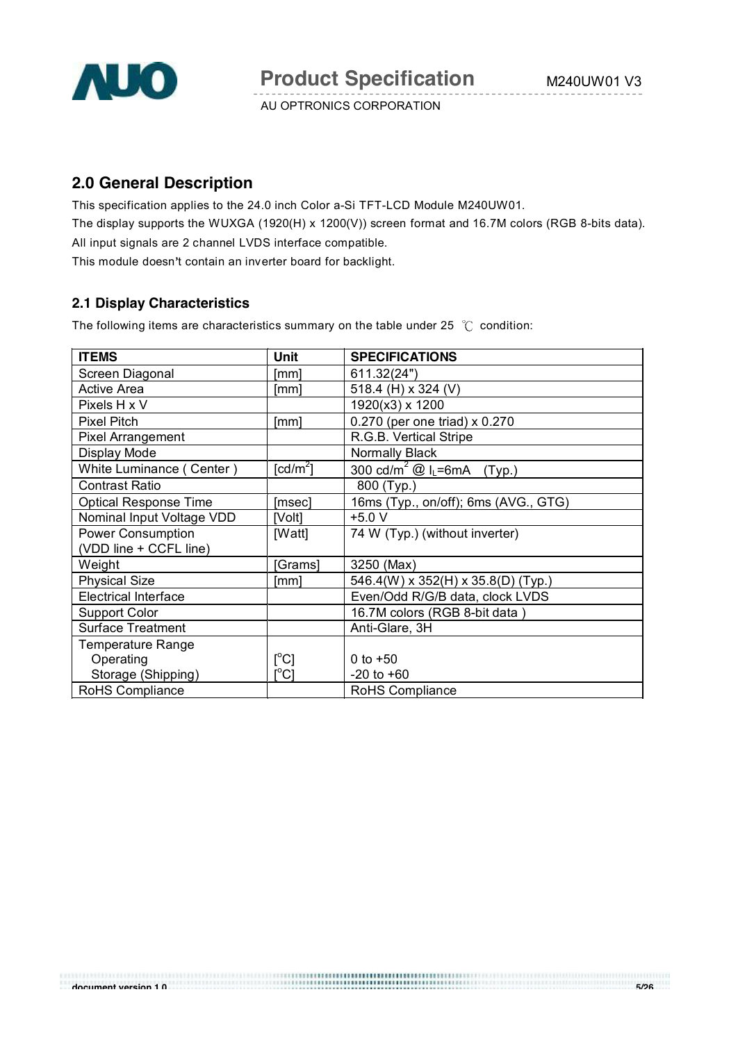

# **2.0 General Description**

This specification applies to the 24.0 inch Color a-Si TFT-LCD Module M240UW01. The display supports the WUXGA (1920(H) x 1200(V)) screen format and 16.7M colors (RGB 8-bits data). All input signals are 2 channel LVDS interface compatible. This module doesn't contain an inverter board for backlight.

# **2.1 Display Characteristics**

The following items are characteristics summary on the table under 25  $^{\circ}$ C condition:

| <b>ITEMS</b>                 | <b>Unit</b>                    | <b>SPECIFICATIONS</b>                              |
|------------------------------|--------------------------------|----------------------------------------------------|
| Screen Diagonal              | [mm]                           | 611.32(24")                                        |
| <b>Active Area</b>           | [mm]                           | 518.4 (H) x 324 (V)                                |
| Pixels H x V                 |                                | 1920(x3) x 1200                                    |
| <b>Pixel Pitch</b>           | [mm]                           | 0.270 (per one triad) x 0.270                      |
| Pixel Arrangement            |                                | R.G.B. Vertical Stripe                             |
| Display Mode                 |                                | Normally Black                                     |
| White Luminance (Center)     | $\lceil cd/m^2 \rceil$         | 300 cd/m <sup>2</sup> @ I <sub>L</sub> =6mA (Typ.) |
| <b>Contrast Ratio</b>        |                                | 800 (Typ.)                                         |
| <b>Optical Response Time</b> | [msec]                         | 16ms (Typ., on/off); 6ms (AVG., GTG)               |
| Nominal Input Voltage VDD    | [Volt]                         | $+5.0 V$                                           |
| <b>Power Consumption</b>     | [Watt]                         | 74 W (Typ.) (without inverter)                     |
| (VDD line + CCFL line)       |                                |                                                    |
| Weight                       | [Grams]                        | 3250 (Max)                                         |
| <b>Physical Size</b>         | [mm]                           | 546.4(W) x 352(H) x 35.8(D) (Typ.)                 |
| <b>Electrical Interface</b>  |                                | Even/Odd R/G/B data, clock LVDS                    |
| <b>Support Color</b>         |                                | 16.7M colors (RGB 8-bit data)                      |
| <b>Surface Treatment</b>     |                                | Anti-Glare, 3H                                     |
| <b>Temperature Range</b>     |                                |                                                    |
| Operating                    | $[^{\circ}C]$                  | 0 to $+50$                                         |
| Storage (Shipping)           | $\mathop{\rm l}{\rm c}{\rm l}$ | $-20$ to $+60$                                     |
| RoHS Compliance              |                                | RoHS Compliance                                    |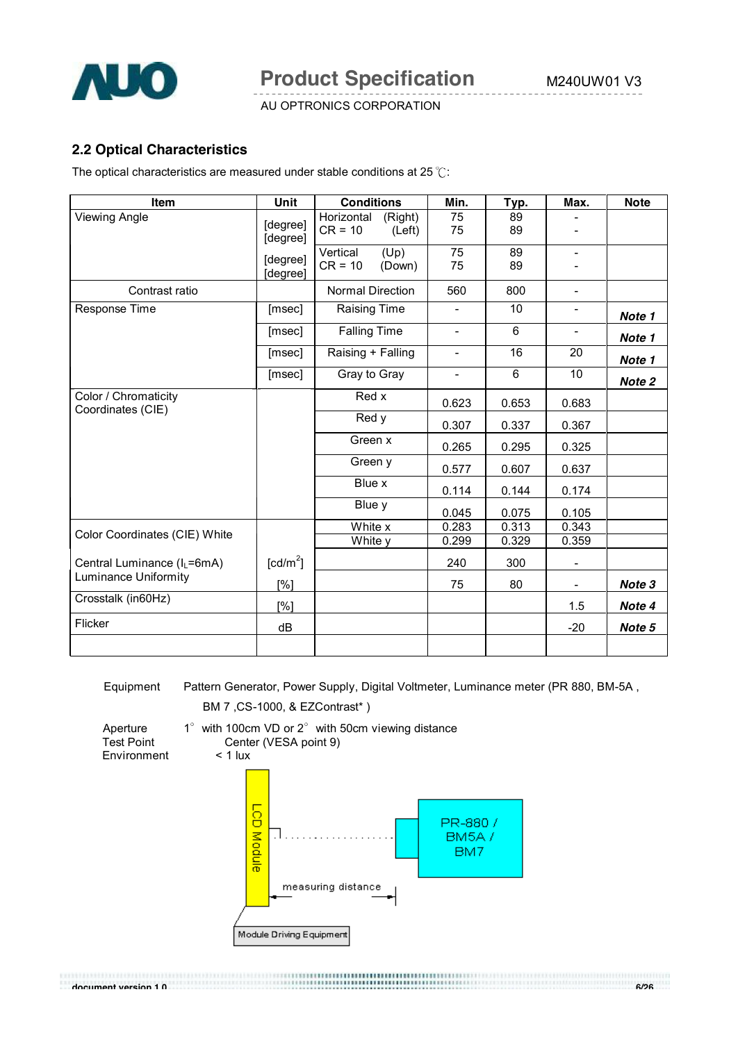

### **2.2 Optical Characteristics**

The optical characteristics are measured under stable conditions at 25  $°C$ :

| Item                                      | <b>Unit</b>                      | <b>Conditions</b>                            | Min.                     | Typ.           | Max.                     | <b>Note</b> |
|-------------------------------------------|----------------------------------|----------------------------------------------|--------------------------|----------------|--------------------------|-------------|
| <b>Viewing Angle</b>                      | [degree]<br>[degree]             | Horizontal<br>(Right)<br>$CR = 10$<br>(Left) | 75<br>75                 | 89<br>89       |                          |             |
|                                           | [degree]<br>[degree]             | (Up)<br>Vertical<br>$CR = 10$<br>(Down)      | $\overline{75}$<br>75    | 89<br>89       | $\overline{\phantom{0}}$ |             |
| Contrast ratio                            |                                  | Normal Direction                             | 560                      | 800            | $\overline{\phantom{a}}$ |             |
| Response Time                             | [msec]                           | Raising Time                                 | $\overline{\phantom{0}}$ | 10             | $\overline{\phantom{a}}$ | Note 1      |
|                                           | [msec]                           | <b>Falling Time</b>                          | $\overline{\phantom{a}}$ | $6\phantom{1}$ | $\overline{\phantom{a}}$ | Note 1      |
|                                           | [msec]                           | Raising + Falling                            | $\overline{\phantom{0}}$ | 16             | 20                       | Note 1      |
|                                           | [msec]                           | Gray to Gray                                 | $\overline{\phantom{0}}$ | $6\phantom{1}$ | 10                       | Note 2      |
| Color / Chromaticity<br>Coordinates (CIE) |                                  | Red x                                        | 0.623                    | 0.653          | 0.683                    |             |
|                                           |                                  | Red y                                        |                          | 0.337          | 0.367                    |             |
|                                           |                                  | Green x                                      | 0.265                    | 0.295          | 0.325                    |             |
|                                           |                                  | Green y                                      | 0.577                    | 0.607          | 0.637                    |             |
|                                           |                                  | Blue x                                       | 0.114                    | 0.144          | 0.174                    |             |
|                                           |                                  | Blue y                                       | 0.045                    | 0.075          | 0.105                    |             |
| Color Coordinates (CIE) White             |                                  | White x                                      | 0.283                    | 0.313          | 0.343                    |             |
|                                           |                                  | White y                                      | 0.299                    | 0.329          | 0.359                    |             |
| Central Luminance (I <sub>L</sub> =6mA)   | $\text{\rm [cd/m}^2\text{\rm ]}$ |                                              | 240                      | 300            |                          |             |
| <b>Luminance Uniformity</b>               | [%]                              |                                              | 75                       | 80             | $\overline{\phantom{0}}$ | Note 3      |
| Crosstalk (in60Hz)                        | N                                |                                              |                          |                | 1.5                      | Note 4      |
| Flicker                                   | dB                               |                                              |                          |                | $-20$                    | Note 5      |
|                                           |                                  |                                              |                          |                |                          |             |

Equipment Pattern Generator, Power Supply, Digital Voltmeter, Luminance meter (PR 880, BM-5A ,

measuring distance

BM5A/ BM7

BM 7 ,CS-1000, & EZContrast\* )



Module Driving Equipment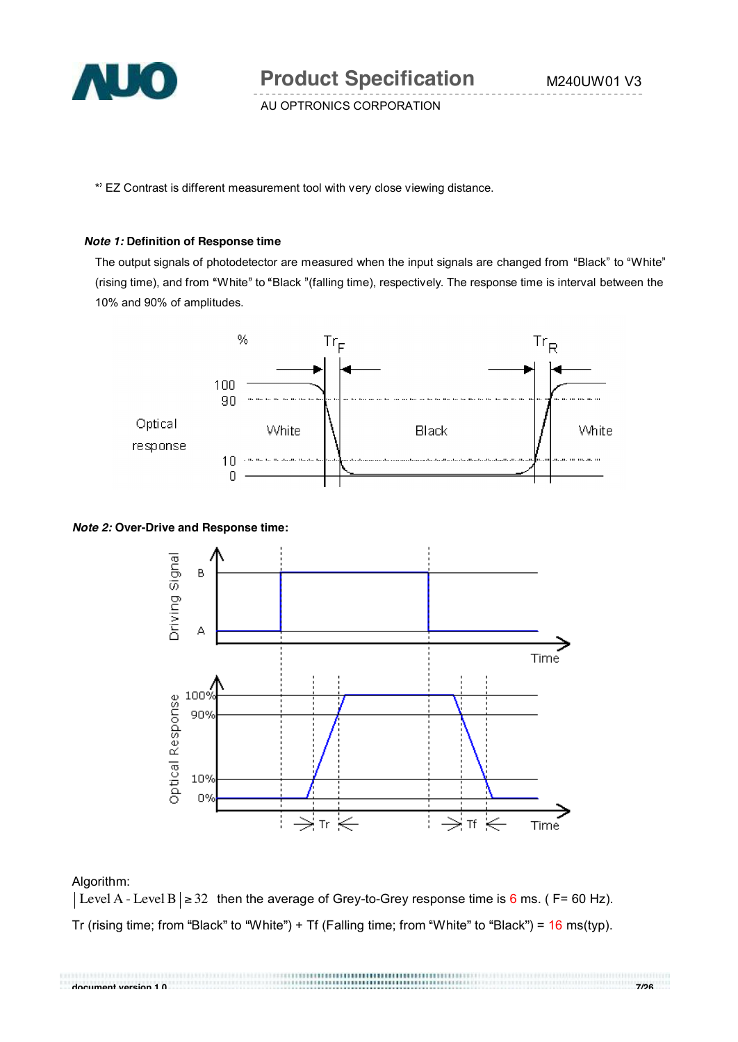

**Product Specification** M240UW01 V3

AU OPTRONICS CORPORATION

\* EZ Contrast is different measurement tool with very close viewing distance.

#### *Note 1:* **Definition of Response time**

The output signals of photodetector are measured when the input signals are changed from "Black" to "White" (rising time), and from "White" to "Black "(falling time), respectively. The response time is interval between the 10% and 90% of amplitudes.



#### *Note 2:* **Over-Drive and Response time:**



#### Algorithm:

Level A - Level B | ≥ 32 then the average of Grey-to-Grey response time is 6 ms. ( F= 60 Hz). Tr (rising time; from "Black" to "White") + Tf (Falling time; from "White" to "Black") =  $16$  ms(typ).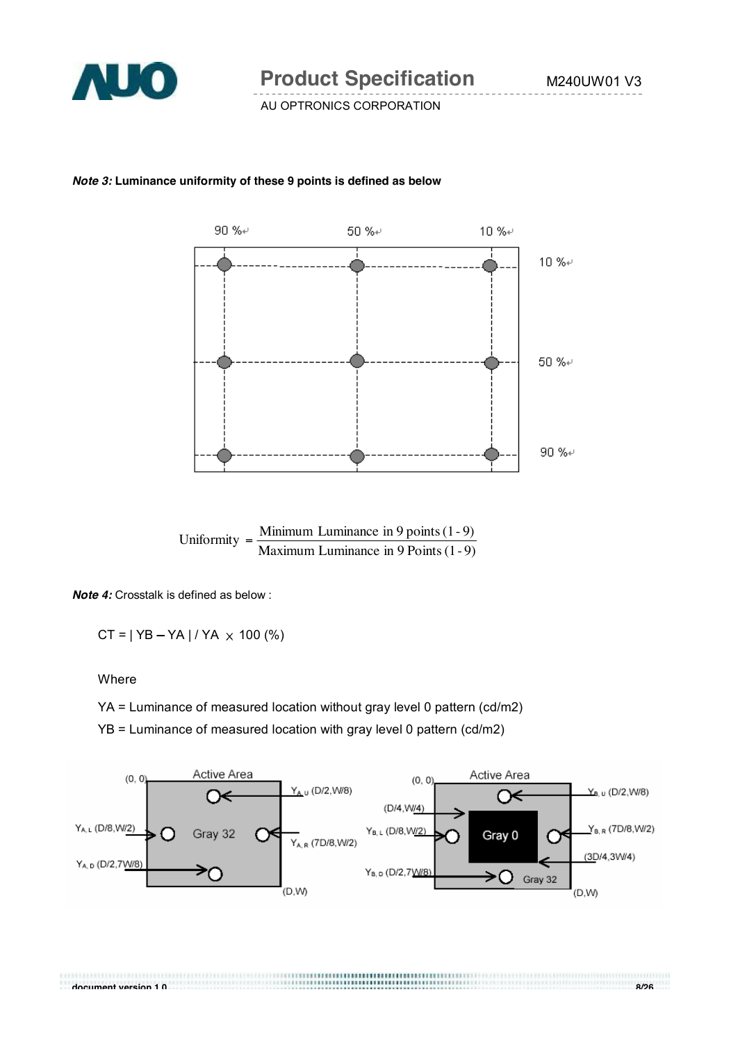

#### *Note 3:* **Luminance uniformity of these 9 points is defined as below**



*Note 4:* Crosstalk is defined as below :

 $CT = | YB - YA | / YA \times 100 (%)$ 

**Where** 

YA = Luminance of measured location without gray level 0 pattern (cd/m2)

YB = Luminance of measured location with gray level 0 pattern (cd/m2)



**document version 1.0 8/26**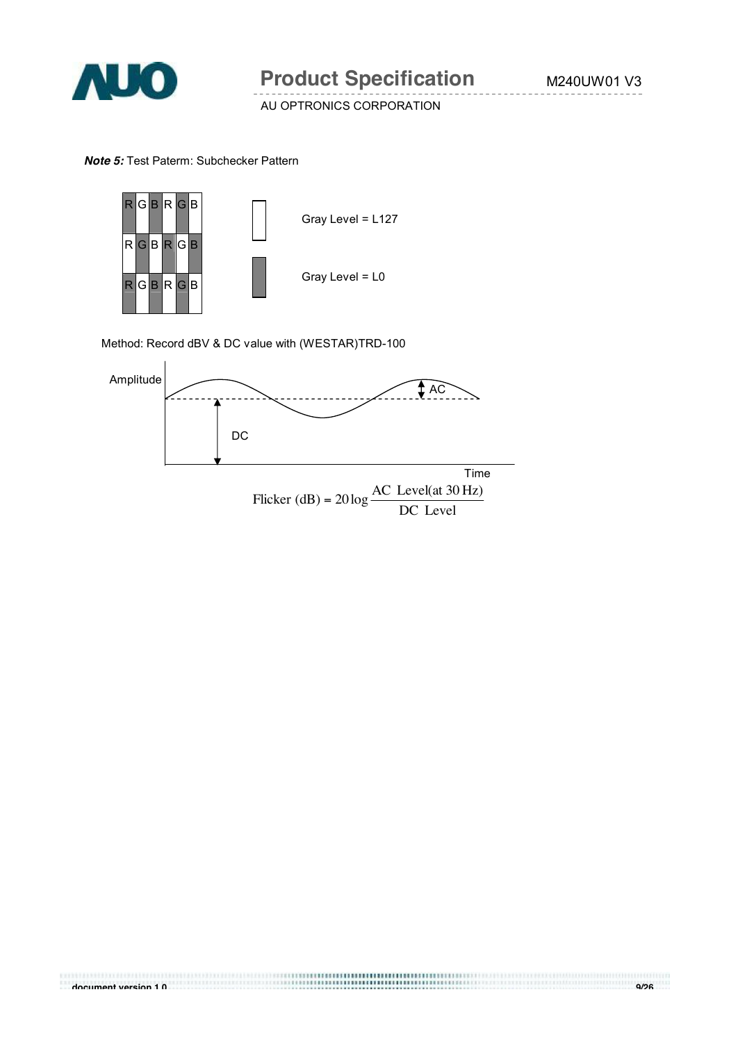

#### *Note 5:* Test Paterm: Subchecker Pattern



Method: Record dBV & DC value with (WESTAR)TRD-100

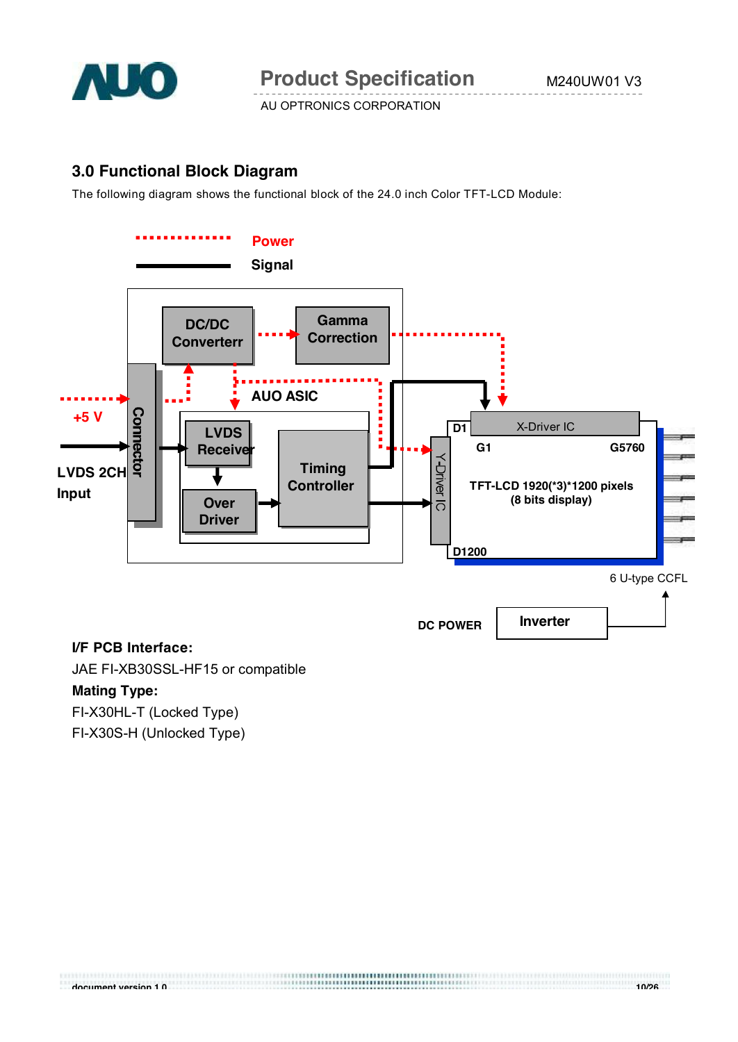

# **3.0 Functional Block Diagram**

The following diagram shows the functional block of the 24.0 inch Color TFT-LCD Module:



JAE FI-XB30SSL-HF15 or compatible

## **Mating Type:**

FI-X30HL-T (Locked Type)

FI-X30S-H (Unlocked Type)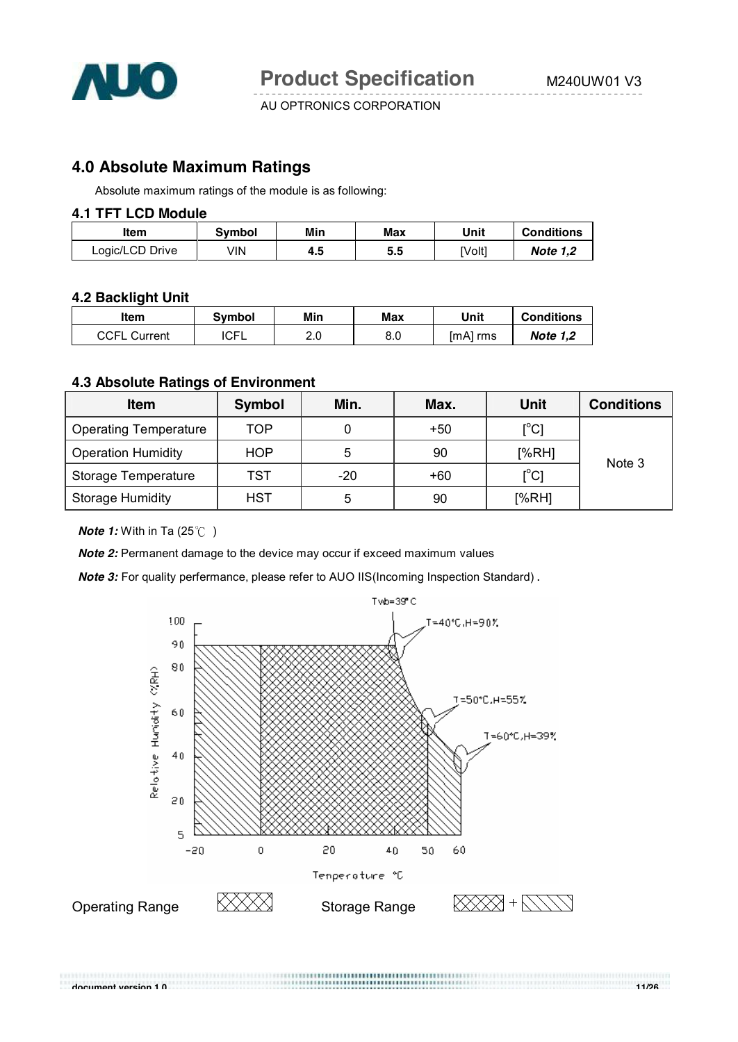

# **4.0 Absolute Maximum Ratings**

Absolute maximum ratings of the module is as following:

#### **4.1 TFT LCD Module**

| ltem            | Svmbol | Min | Max | Unit  | <b>Conditions</b> |
|-----------------|--------|-----|-----|-------|-------------------|
| Logic/LCD Drive | VIN    | 4.5 | 5.5 | [Volt | <b>Note 1.2</b>   |

#### **4.2 Backlight Unit**

| ltem                | Svmbol      | Min | Max | Unit     | <b>Conditions</b> |
|---------------------|-------------|-----|-----|----------|-------------------|
| <b>CCFL Current</b> | <b>ICFL</b> | ົ   | 8.0 | [mA] rms | <b>Note 1.2</b>   |

#### **4.3 Absolute Ratings of Environment**

| <b>Item</b>                  | Symbol     | Min.  | Max.  | Unit          | <b>Conditions</b> |  |
|------------------------------|------------|-------|-------|---------------|-------------------|--|
| <b>Operating Temperature</b> | TOP        |       | $+50$ | $[^{\circ}C]$ |                   |  |
| <b>Operation Humidity</b>    | <b>HOP</b> | 5     | 90    | [%RH]         | Note 3            |  |
| Storage Temperature          | TST        | $-20$ | $+60$ | $[^{\circ}C]$ |                   |  |
| <b>Storage Humidity</b>      | HST        | 5     | 90    | [%RH]         |                   |  |

*Note 1:* With in Ta (25°C)

*Note 2:* Permanent damage to the device may occur if exceed maximum values

*Note 3:* For quality perfermance, please refer to AUO IIS(Incoming Inspection Standard).

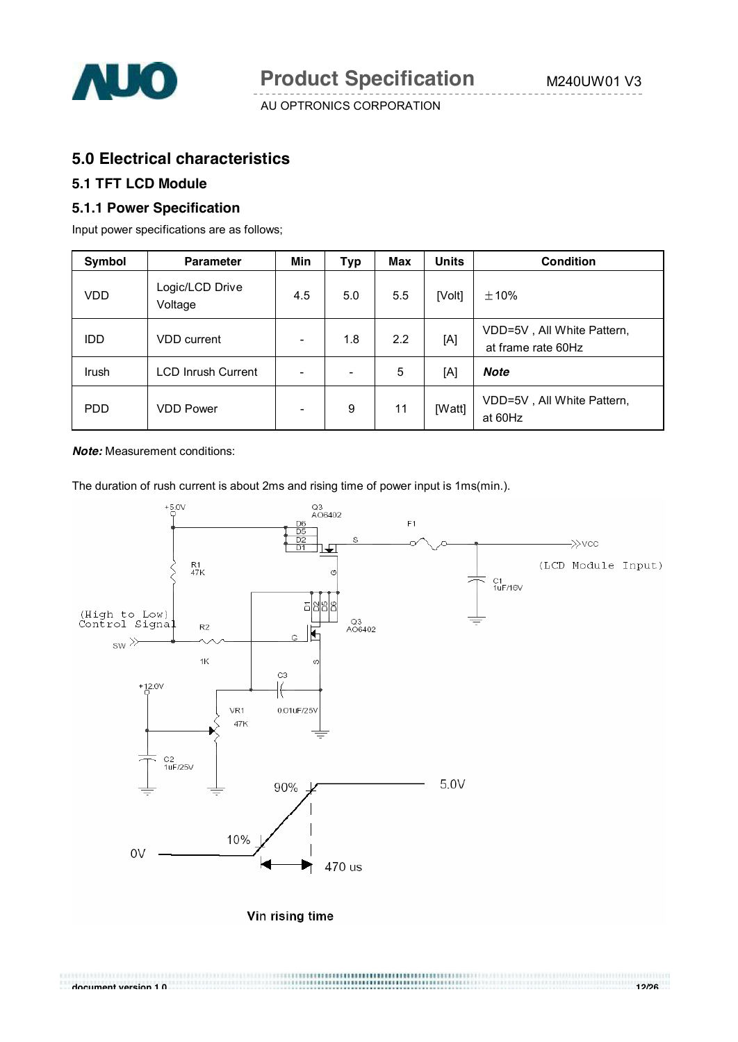

# **5.0 Electrical characteristics**

### **5.1 TFT LCD Module**

#### **5.1.1 Power Specification**

Input power specifications are as follows;

| Symbol       | <b>Parameter</b>           | Min                      | Typ | <b>Max</b> | <b>Units</b> | <b>Condition</b>                                 |
|--------------|----------------------------|--------------------------|-----|------------|--------------|--------------------------------------------------|
| VDD          | Logic/LCD Drive<br>Voltage | 4.5                      | 5.0 | 5.5        | [Volt]       | $\pm$ 10%                                        |
| IDD          | <b>VDD</b> current         |                          | 1.8 | 2.2        | [A]          | VDD=5V, All White Pattern,<br>at frame rate 60Hz |
| <b>Irush</b> | <b>LCD Inrush Current</b>  | -                        | ۰   | 5          | [A]          | <b>Note</b>                                      |
| <b>PDD</b>   | <b>VDD Power</b>           | $\overline{\phantom{0}}$ | 9   | 11         | [Watt]       | VDD=5V, All White Pattern,<br>at 60Hz            |

*Note:* Measurement conditions:

The duration of rush current is about 2ms and rising time of power input is 1ms(min.).



**document version 1.0 12/26**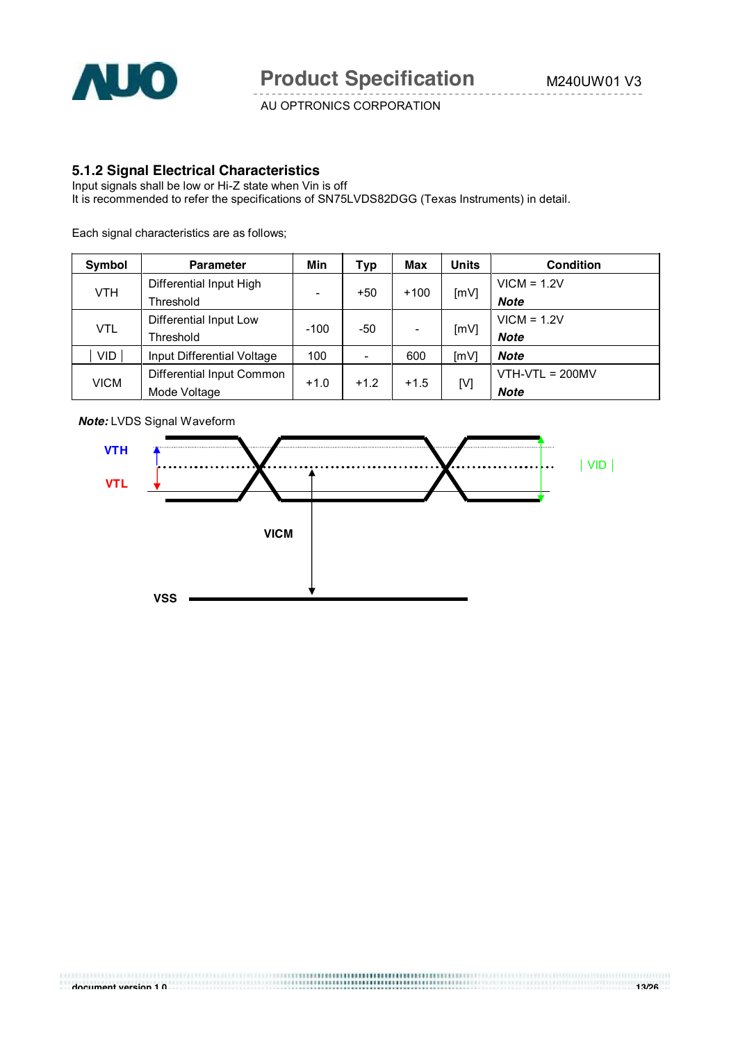

#### **5.1.2 Signal Electrical Characteristics**

Input signals shall be low or Hi-Z state when Vin is off It is recommended to refer the specifications of SN75LVDS82DGG (Texas Instruments) in detail.

Each signal characteristics are as follows;

| Symbol      | <b>Parameter</b>           | Min                      | Typ    | Max    | <b>Units</b> | <b>Condition</b>  |
|-------------|----------------------------|--------------------------|--------|--------|--------------|-------------------|
| <b>VTH</b>  | Differential Input High    |                          |        | $+100$ | [mV]         | $VICM = 1.2V$     |
|             | Threshold                  | $\overline{\phantom{0}}$ | $+50$  |        |              | <b>Note</b>       |
| VTL         | Differential Input Low     |                          | -50    |        | [mV]         | $VICM = 1.2V$     |
|             | Threshold                  | $-100$                   |        |        |              | <b>Note</b>       |
| VID         | Input Differential Voltage | 100                      | ۰      | 600    | [mV]         | <b>Note</b>       |
| <b>VICM</b> | Differential Input Common  |                          |        |        |              | $VTH-VTL = 200MV$ |
|             | Mode Voltage               | $+1.0$                   | $+1.2$ | $+1.5$ | [V]          | <b>Note</b>       |



*Note:* LVDS Signal Waveform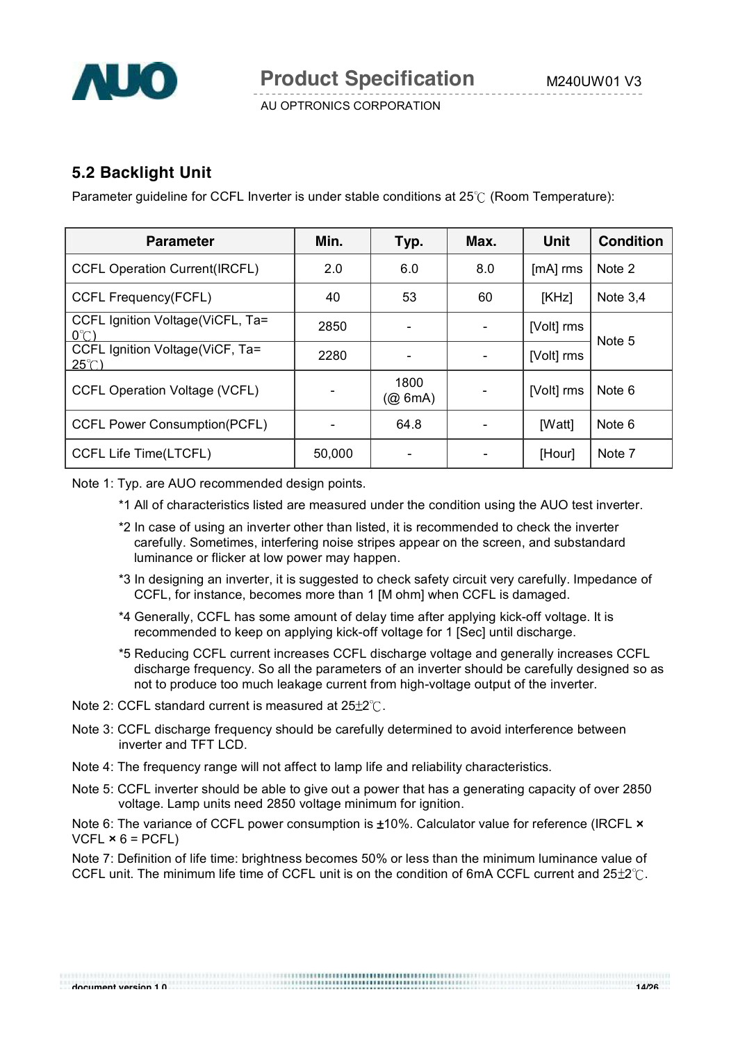

# **5.2 Backlight Unit**

Parameter guideline for CCFL Inverter is under stable conditions at  $25^{\circ}$  (Room Temperature):

| <b>Parameter</b>                                    | Min.   | Typ.                     | Max. | <b>Unit</b> | <b>Condition</b> |
|-----------------------------------------------------|--------|--------------------------|------|-------------|------------------|
| <b>CCFL Operation Current(IRCFL)</b>                | 2.0    | 6.0                      | 8.0  | $[mA]$ rms  | Note 2           |
| <b>CCFL Frequency(FCFL)</b>                         | 40     | 53                       | 60   | [KHz]       | Note $3,4$       |
| CCFL Ignition Voltage(ViCFL, Ta=<br>$O^{\circ}$ $C$ | 2850   |                          |      | [Volt] rms  | Note 5           |
| CCFL Ignition Voltage(ViCF, Ta=<br>$25^{\circ}$ (   | 2280   |                          |      | [Volt] rms  |                  |
| <b>CCFL Operation Voltage (VCFL)</b>                |        | 1800<br>$(Q\otimes 6mA)$ |      | [Volt] rms  | Note 6           |
| <b>CCFL Power Consumption(PCFL)</b>                 |        | 64.8                     |      | [Watt]      | Note 6           |
| <b>CCFL Life Time(LTCFL)</b>                        | 50,000 |                          |      | [Hour]      | Note 7           |

Note 1: Typ. are AUO recommended design points.

- \*1 All of characteristics listed are measured under the condition using the AUO test inverter.
- \*2 In case of using an inverter other than listed, it is recommended to check the inverter carefully. Sometimes, interfering noise stripes appear on the screen, and substandard luminance or flicker at low power may happen.
- \*3 In designing an inverter, it is suggested to check safety circuit very carefully. Impedance of CCFL, for instance, becomes more than 1 [M ohm] when CCFL is damaged.
- \*4 Generally, CCFL has some amount of delay time after applying kick-off voltage. It is recommended to keep on applying kick-off voltage for 1 [Sec] until discharge.
- \*5 Reducing CCFL current increases CCFL discharge voltage and generally increases CCFL discharge frequency. So all the parameters of an inverter should be carefully designed so as not to produce too much leakage current from high-voltage output of the inverter.
- Note 2: CCFL standard current is measured at  $25\pm2^{\circ}$ .
- Note 3: CCFL discharge frequency should be carefully determined to avoid interference between inverter and TFT LCD.
- Note 4: The frequency range will not affect to lamp life and reliability characteristics.
- Note 5: CCFL inverter should be able to give out a power that has a generating capacity of over 2850 voltage. Lamp units need 2850 voltage minimum for ignition.

Note 6: The variance of CCFL power consumption is  $\pm 10\%$ . Calculator value for reference (IRCFL  $\times$  $VCFL \times 6 = PCFL$ 

Note 7: Definition of life time: brightness becomes 50% or less than the minimum luminance value of CCFL unit. The minimum life time of CCFL unit is on the condition of 6mA CCFL current and  $25\pm2^{\circ}$ .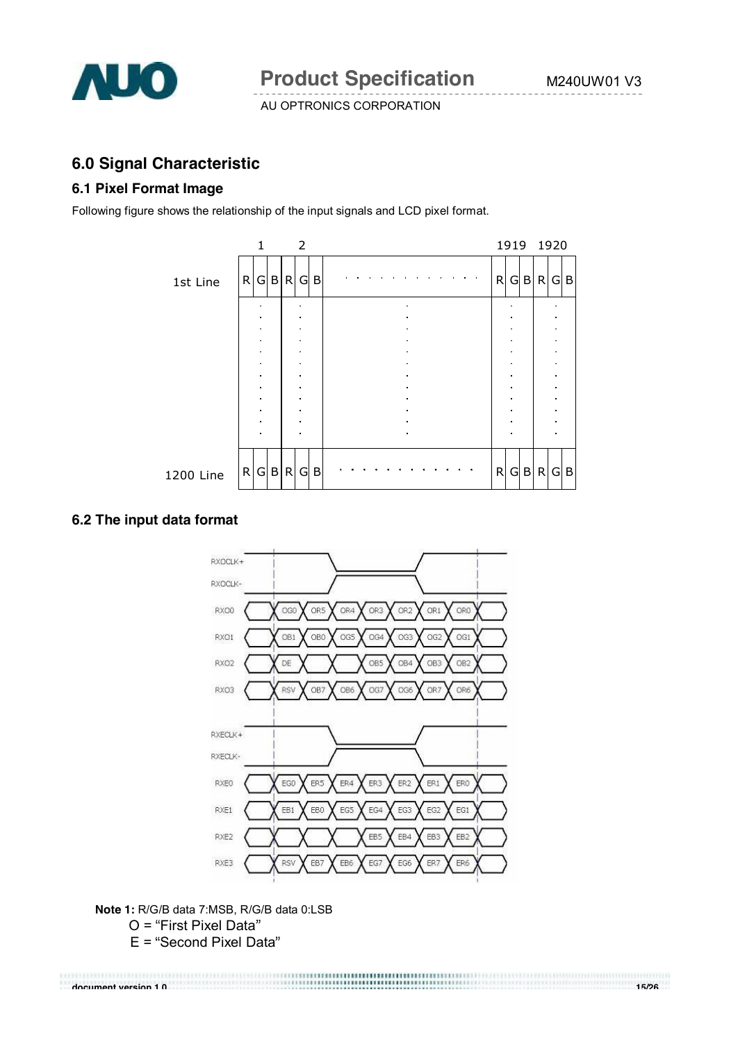

# **6.0 Signal Characteristic**

#### **6.1 Pixel Format Image**

Following figure shows the relationship of the input signals and LCD pixel format.



## **6.2 The input data format**



**Note 1:** R/G/B data 7:MSB, R/G/B data 0:LSB  $O$  = "First Pixel Data"  $E =$  "Second Pixel Data"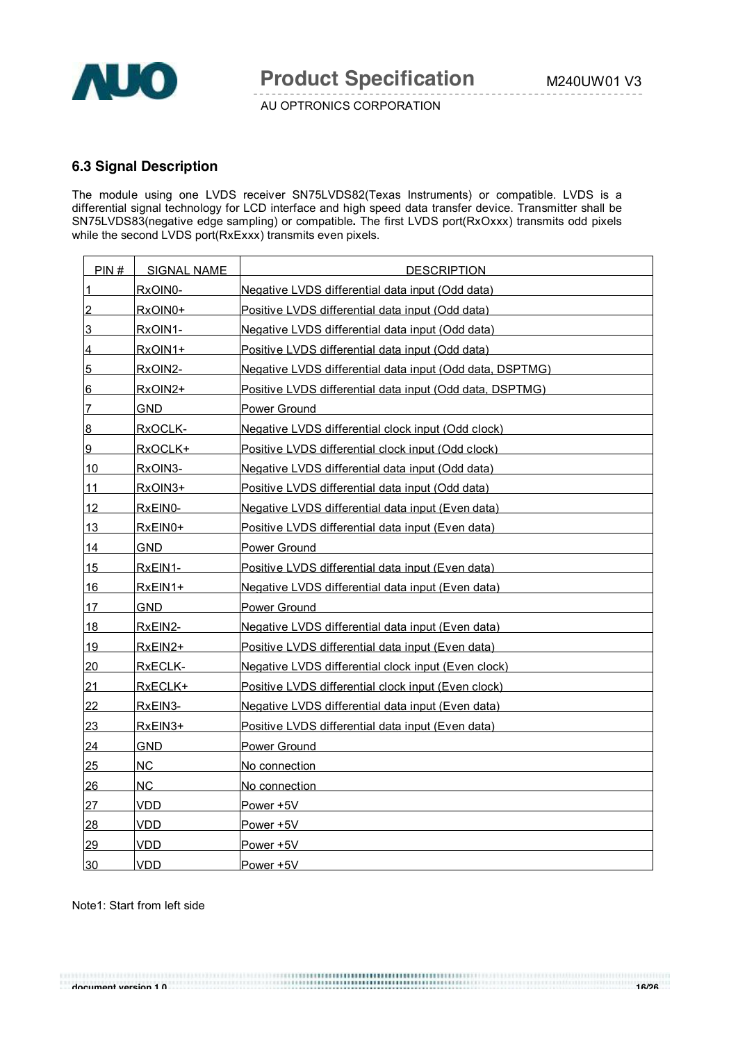

#### **6.3 Signal Description**

The module using one LVDS receiver SN75LVDS82(Texas Instruments) or compatible. LVDS is a differential signal technology for LCD interface and high speed data transfer device. Transmitter shall be SN75LVDS83(negative edge sampling) or compatible**.** The first LVDS port(RxOxxx) transmits odd pixels while the second LVDS port(RxExxx) transmits even pixels.

| PIN#           | <b>SIGNAL NAME</b> | <b>DESCRIPTION</b>                                       |
|----------------|--------------------|----------------------------------------------------------|
| 1              | RxOIN0-            | Negative LVDS differential data input (Odd data)         |
| $\overline{2}$ | RxOIN0+            | Positive LVDS differential data input (Odd data)         |
| <u>3</u>       | RxOIN1-            | Negative LVDS differential data input (Odd data)         |
| $\overline{4}$ | RxOIN1+            | Positive LVDS differential data input (Odd data)         |
| $\overline{5}$ | RxOIN2-            | Negative LVDS differential data input (Odd data, DSPTMG) |
| 6              | RxOIN2+            | Positive LVDS differential data input (Odd data, DSPTMG) |
| 7              | GND.               | Power Ground                                             |
| $\overline{8}$ | RxOCLK-            | Negative LVDS differential clock input (Odd clock)       |
| 9              | RxOCLK+            | Positive LVDS differential clock input (Odd clock)       |
| 10             | RxOIN3-            | Negative LVDS differential data input (Odd data)         |
| 11             | RxOIN3+            | Positive LVDS differential data input (Odd data)         |
| 12             | RxEIN0-            | Negative LVDS differential data input (Even data)        |
| 13             | RxEIN0+            | Positive LVDS differential data input (Even data)        |
| 14             | GND.               | Power Ground                                             |
| 15             | RxEIN1-            | Positive LVDS differential data input (Even data)        |
| 16             | RxEIN1+            | Negative LVDS differential data input (Even data)        |
| 17             | GND.               | Power Ground                                             |
| 18             | <u>RxEIN2-</u>     | Negative LVDS differential data input (Even data)        |
| 19             | RxEIN2+            | Positive LVDS differential data input (Even data)        |
| 20             | RxECLK-            | Negative LVDS differential clock input (Even clock)      |
| 21             | RxECLK+            | Positive LVDS differential clock input (Even clock)      |
| 22             | RxEIN3-            | Negative LVDS differential data input (Even data)        |
| 23             | RxEIN3+            | Positive LVDS differential data input (Even data)        |
| 24             | <b>GND</b>         | Power Ground                                             |
| 25             | <b>NC</b>          | No connection                                            |
| 26             | <b>NC</b>          | No connection                                            |
| 27             | <b>VDD</b>         | Power +5V                                                |
| 28             | VDD                | Power +5V                                                |
| 29             | VDD                | Power +5V                                                |
| 30             | <b>VDD</b>         | Power +5V                                                |

**document version 1.0 16/26**

Note1: Start from left side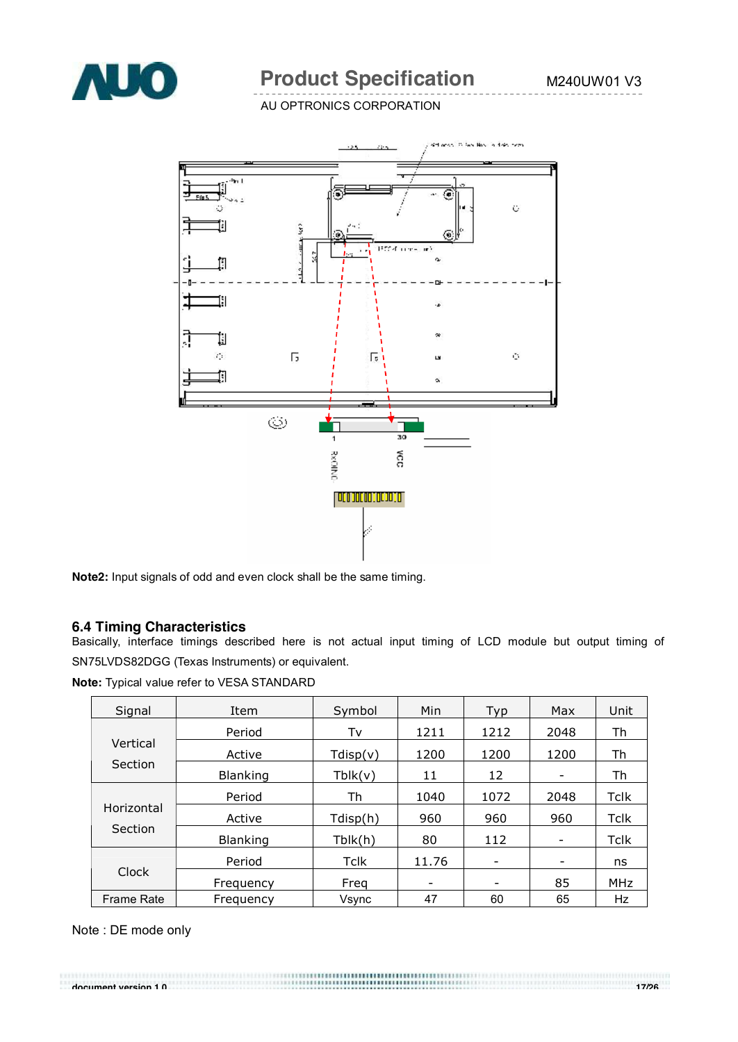

# **Product Specification** M240UW01 V3

AU OPTRONICS CORPORATION



**Note2:** Input signals of odd and even clock shall be the same timing.

#### **6.4 Timing Characteristics**

Basically, interface timings described here is not actual input timing of LCD module but output timing of SN75LVDS82DGG (Texas Instruments) or equivalent.

**Note:** Typical value refer to VESA STANDARD

| Signal            | Item            | Symbol   | Min   | Typ                      | Max                          | Unit        |
|-------------------|-----------------|----------|-------|--------------------------|------------------------------|-------------|
|                   | Period          | Tv       | 1211  | 1212                     | 2048                         | Th          |
| Vertical          | Active          | Tdisp(v) | 1200  | 1200                     | 1200                         | Th          |
| Section           | <b>Blanking</b> | Tblk(v)  | 11    | 12                       | $\qquad \qquad \blacksquare$ | Th          |
|                   | Period          | Th       | 1040  | 1072                     | 2048                         | Tclk        |
| Horizontal        | Active          | Tdisp(h) | 960   | 960                      | 960                          | <b>Tclk</b> |
| Section           | <b>Blanking</b> | Tblk(h)  | 80    | 112                      |                              | Tclk        |
| Clock             | Period          | Tclk     | 11.76 | $\overline{\phantom{a}}$ | -                            | ns          |
|                   | Frequency       | Freq     |       | $\overline{\phantom{0}}$ | 85                           | MHz         |
| <b>Frame Rate</b> | Frequency       | Vsync    | 47    | 60                       | 65                           | Hz          |

Note : DE mode only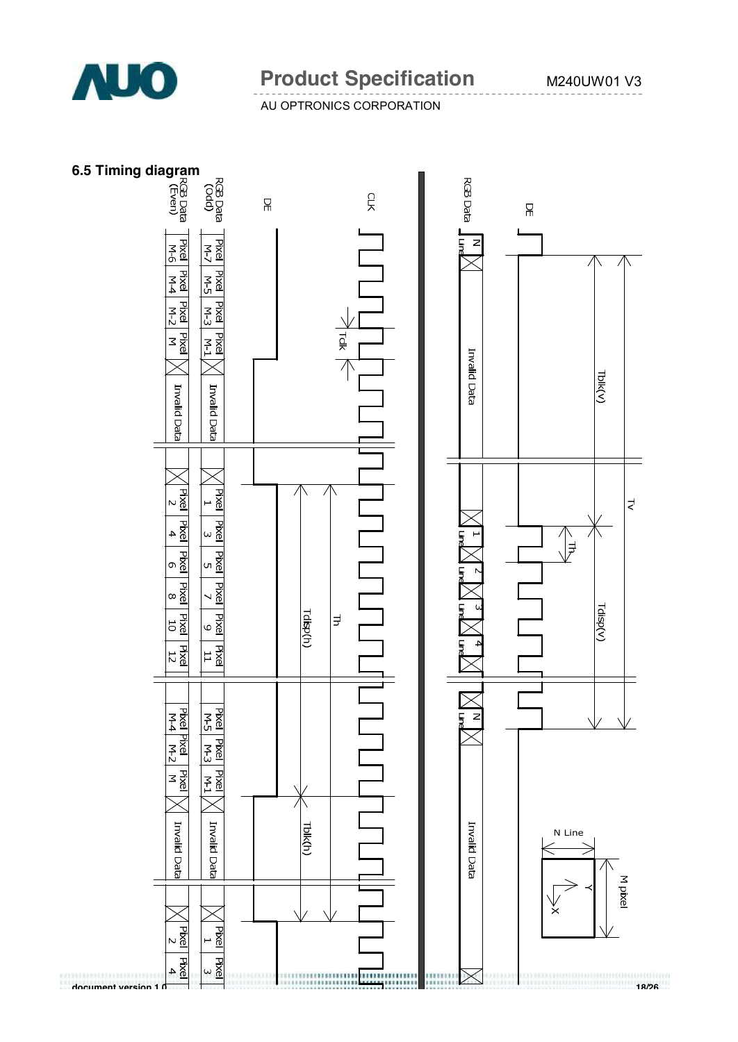

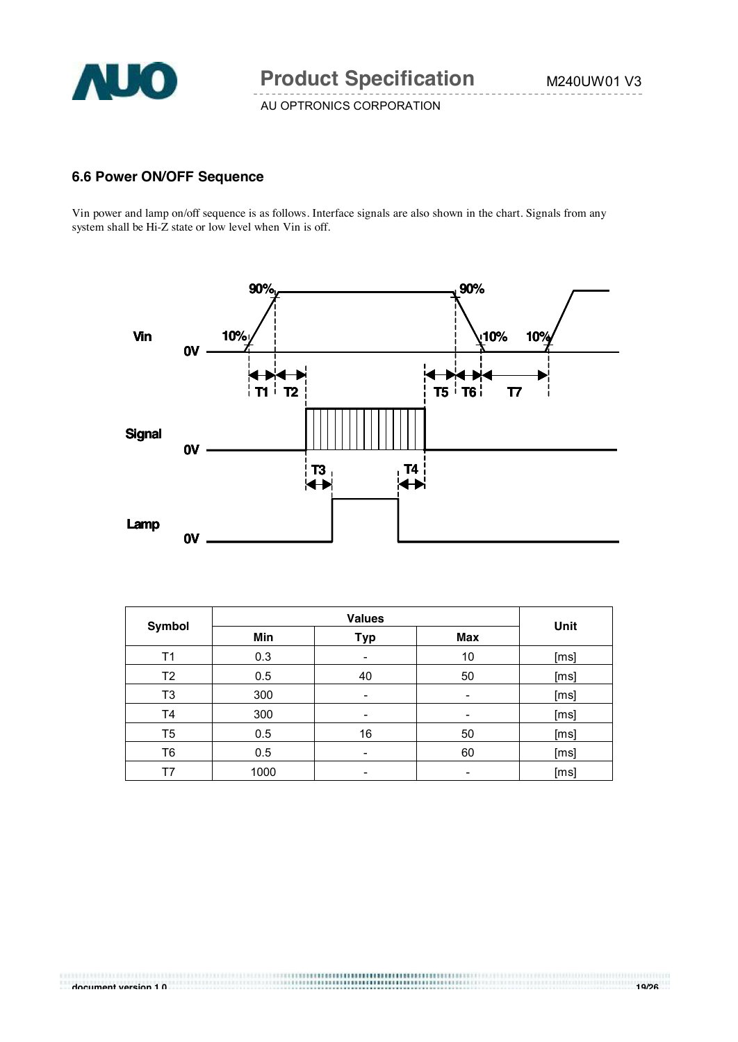

B

AU OPTRONICS CORPORATION

# **6.6 Power ON/OFF Sequence**

Vin power and lamp on/off sequence is as follows. Interface signals are also shown in the chart. Signals from any system shall be Hi-Z state or low level when Vin is off.



| <b>Symbol</b>  | <b>Values</b> |     |                          | Unit |
|----------------|---------------|-----|--------------------------|------|
|                | Min           | Typ | Max                      |      |
| T1             | 0.3           | -   | 10                       | [ms] |
| T <sub>2</sub> | 0.5           | 40  | 50                       | [ms] |
| T3             | 300           | -   | $\overline{\phantom{a}}$ | [ms] |
| T4             | 300           |     | -                        | [ms] |
| T5             | 0.5           | 16  | 50                       | [ms] |
| T6             | 0.5           | ٠   | 60                       | [ms] |
| T7             | 1000          |     | -                        | [ms] |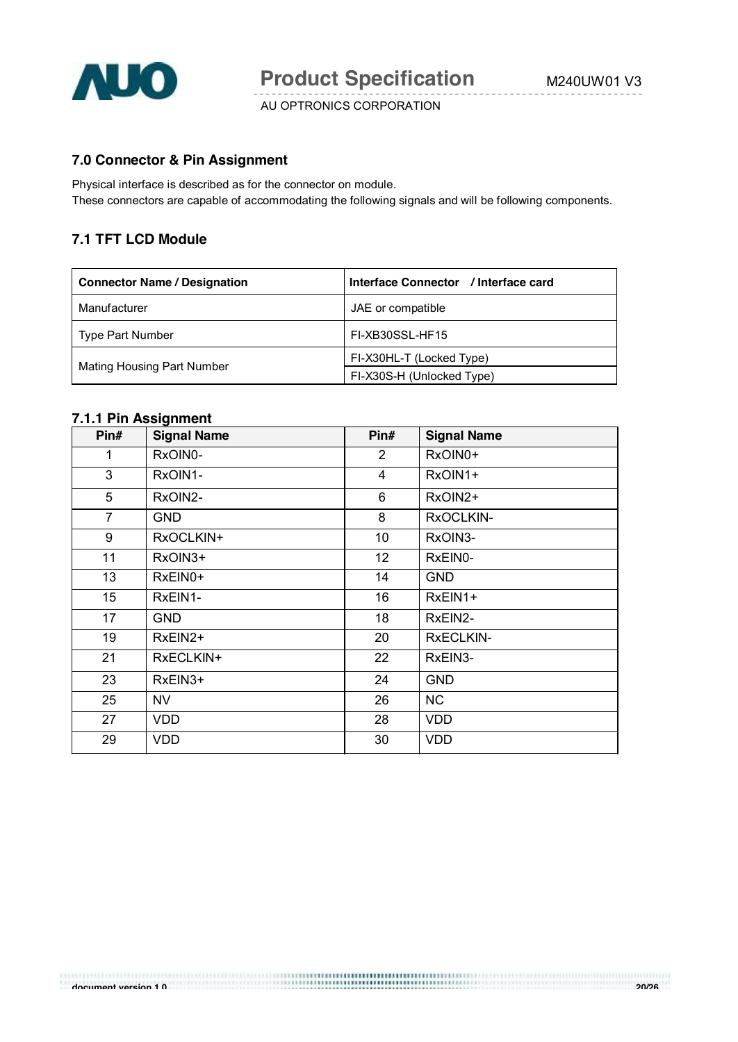

# **7.0 Connector & Pin Assignment**

Physical interface is described as for the connector on module. These connectors are capable of accommodating the following signals and will be following components.

## **7.1 TFT LCD Module**

| <b>Connector Name / Designation</b> | Interface Connector / Interface card |
|-------------------------------------|--------------------------------------|
| Manufacturer                        | JAE or compatible                    |
| Type Part Number                    | FI-XB30SSL-HF15                      |
|                                     | FI-X30HL-T (Locked Type)             |
| <b>Mating Housing Part Number</b>   | FI-X30S-H (Unlocked Type)            |

#### **7.1.1 Pin Assignment**

| Pin#           | <b>Signal Name</b> | Pin#            | <b>Signal Name</b> |
|----------------|--------------------|-----------------|--------------------|
| 1              | RxOIN0-            | $\overline{2}$  | RxOIN0+            |
| 3              | RxOIN1-            | 4               | RxOIN1+            |
| 5              | RxOIN2-            | 6               | RxOIN2+            |
| $\overline{7}$ | <b>GND</b>         | 8               | RxOCLKIN-          |
| 9              | RxOCLKIN+          | 10              | RxOIN3-            |
| 11             | RxOIN3+            | 12 <sub>2</sub> | RxEIN0-            |
| 13             | RxEIN0+            | 14              | <b>GND</b>         |
| 15             | RxEIN1-            | 16              | RxEIN1+            |
| 17             | <b>GND</b>         | 18              | RxEIN2-            |
| 19             | RxEIN2+            | 20              | <b>RxECLKIN-</b>   |
| 21             | RxECLKIN+          | 22              | RxEIN3-            |
| 23             | RxEIN3+            | 24              | <b>GND</b>         |
| 25             | <b>NV</b>          | 26              | NC                 |
| 27             | <b>VDD</b>         | 28              | <b>VDD</b>         |
| 29             | <b>VDD</b>         | 30              | <b>VDD</b>         |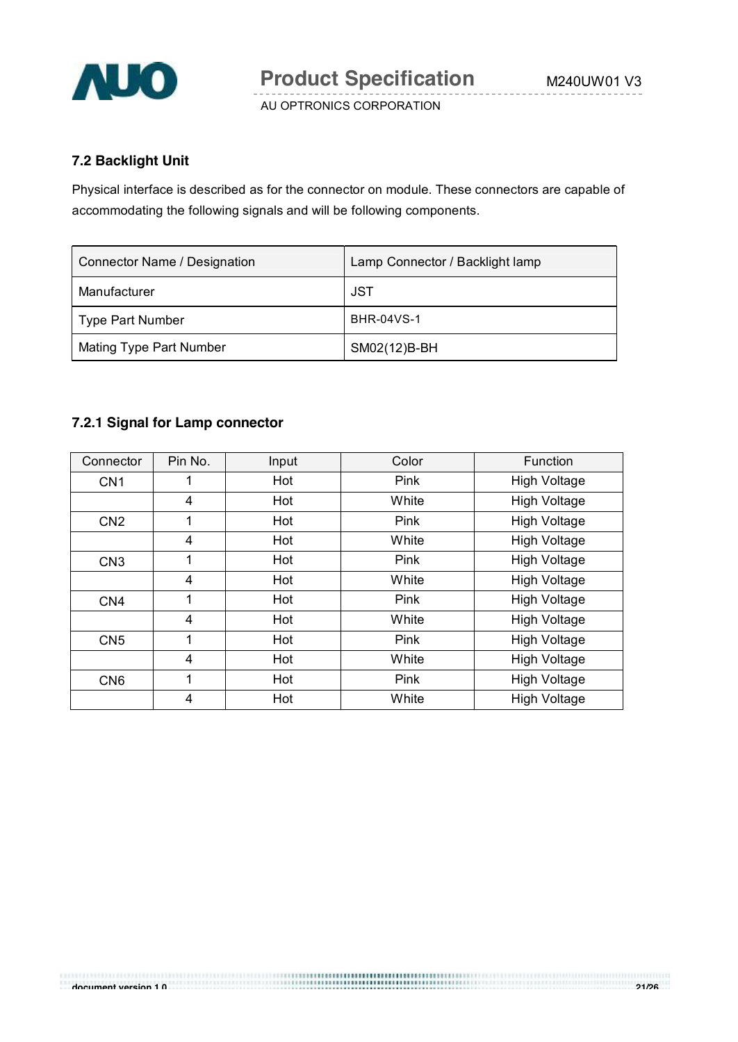

## **7.2 Backlight Unit**

Physical interface is described as for the connector on module. These connectors are capable of accommodating the following signals and will be following components.

| Connector Name / Designation   | Lamp Connector / Backlight lamp |
|--------------------------------|---------------------------------|
| Manufacturer                   | JST                             |
| <b>Type Part Number</b>        | <b>BHR-04VS-1</b>               |
| <b>Mating Type Part Number</b> | SM02(12)B-BH                    |

# **7.2.1 Signal for Lamp connector**

| Connector       | Pin No. | Input | Color | Function            |
|-----------------|---------|-------|-------|---------------------|
| CN <sub>1</sub> | 1       | Hot   | Pink  | <b>High Voltage</b> |
|                 | 4       | Hot   | White | <b>High Voltage</b> |
| CN <sub>2</sub> | 1       | Hot   | Pink  | <b>High Voltage</b> |
|                 | 4       | Hot   | White | <b>High Voltage</b> |
| CN <sub>3</sub> | 1       | Hot   | Pink  | <b>High Voltage</b> |
|                 | 4       | Hot   | White | <b>High Voltage</b> |
| CN <sub>4</sub> | 1       | Hot   | Pink  | <b>High Voltage</b> |
|                 | 4       | Hot   | White | <b>High Voltage</b> |
| CN <sub>5</sub> | 1       | Hot   | Pink  | <b>High Voltage</b> |
|                 | 4       | Hot   | White | <b>High Voltage</b> |
| CN <sub>6</sub> | 1       | Hot   | Pink  | <b>High Voltage</b> |
|                 | 4       | Hot   | White | <b>High Voltage</b> |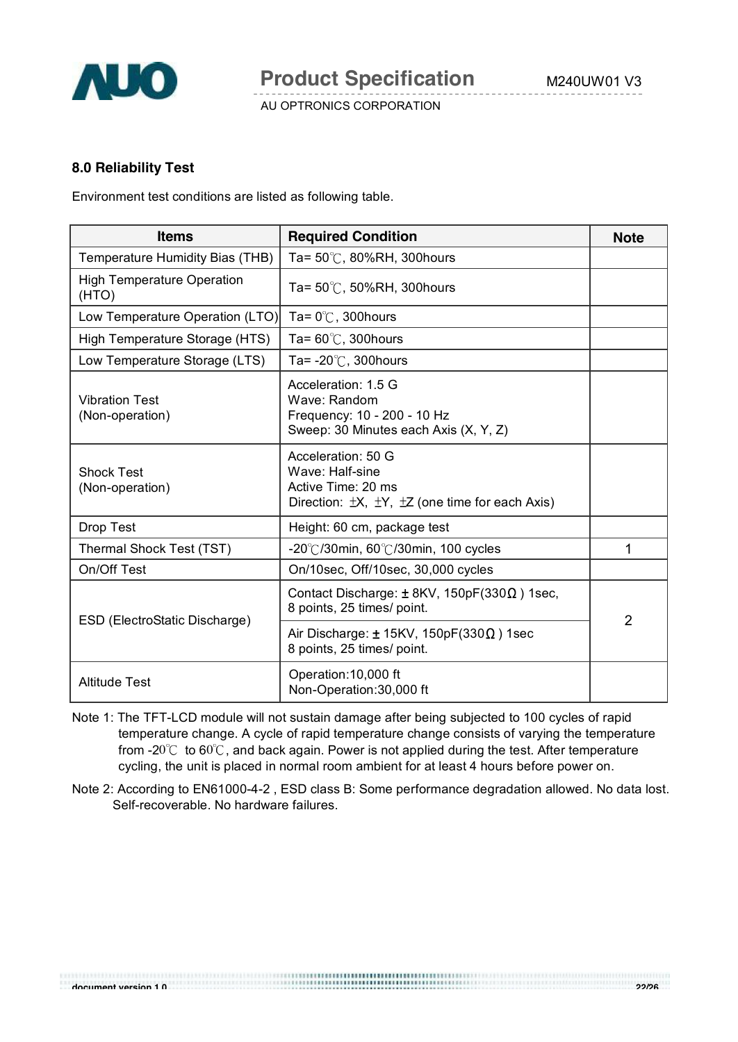

#### **8.0 Reliability Test**

Environment test conditions are listed as following table.

| <b>Items</b>                               | <b>Required Condition</b>                                                                                                      | <b>Note</b>    |
|--------------------------------------------|--------------------------------------------------------------------------------------------------------------------------------|----------------|
| Temperature Humidity Bias (THB)            | Ta= $50^{\circ}$ C, 80%RH, 300hours                                                                                            |                |
| <b>High Temperature Operation</b><br>(HTO) | Ta= $50^{\circ}$ C, 50%RH, 300hours                                                                                            |                |
| Low Temperature Operation (LTO)            | Ta= $0^{\circ}$ C, 300 hours                                                                                                   |                |
| High Temperature Storage (HTS)             | Ta= $60^{\circ}$ C, 300 hours                                                                                                  |                |
| Low Temperature Storage (LTS)              | Ta= $-20^{\circ}$ C, 300 hours                                                                                                 |                |
| <b>Vibration Test</b><br>(Non-operation)   | Acceleration: 1.5 G<br>Wave: Random<br>Frequency: 10 - 200 - 10 Hz<br>Sweep: 30 Minutes each Axis (X, Y, Z)                    |                |
| <b>Shock Test</b><br>(Non-operation)       | Acceleration: 50 G<br>Wave: Half-sine<br>Active Time: 20 ms<br>Direction: $\pm X$ , $\pm Y$ , $\pm Z$ (one time for each Axis) |                |
| Drop Test                                  | Height: 60 cm, package test                                                                                                    |                |
| Thermal Shock Test (TST)                   | -20°C/30min, 60°C/30min, 100 cycles                                                                                            | 1              |
| On/Off Test                                | On/10sec, Off/10sec, 30,000 cycles                                                                                             |                |
|                                            | Contact Discharge: ± 8KV, 150pF(330Ω) 1sec,<br>8 points, 25 times/ point.                                                      | $\overline{2}$ |
| ESD (ElectroStatic Discharge)              | Air Discharge: $\pm$ 15KV, 150pF(330 $\Omega$ ) 1sec<br>8 points, 25 times/ point.                                             |                |
| <b>Altitude Test</b>                       | Operation: 10,000 ft<br>Non-Operation: 30,000 ft                                                                               |                |

Note 1: The TFT-LCD module will not sustain damage after being subjected to 100 cycles of rapid temperature change. A cycle of rapid temperature change consists of varying the temperature from -20 $^{\circ}$ C to 60 $^{\circ}$ C, and back again. Power is not applied during the test. After temperature cycling, the unit is placed in normal room ambient for at least 4 hours before power on.

Note 2: According to EN61000-4-2 , ESD class B: Some performance degradation allowed. No data lost. Self-recoverable. No hardware failures.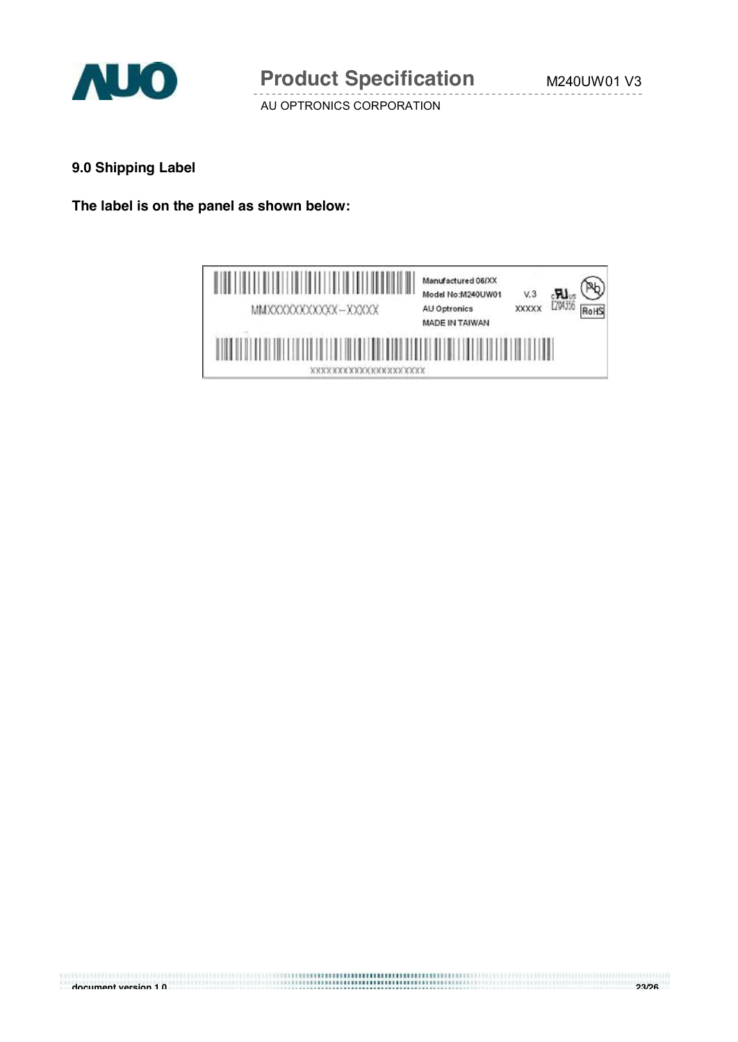

#### **9.0 Shipping Label**

**The label is on the panel as shown below:**

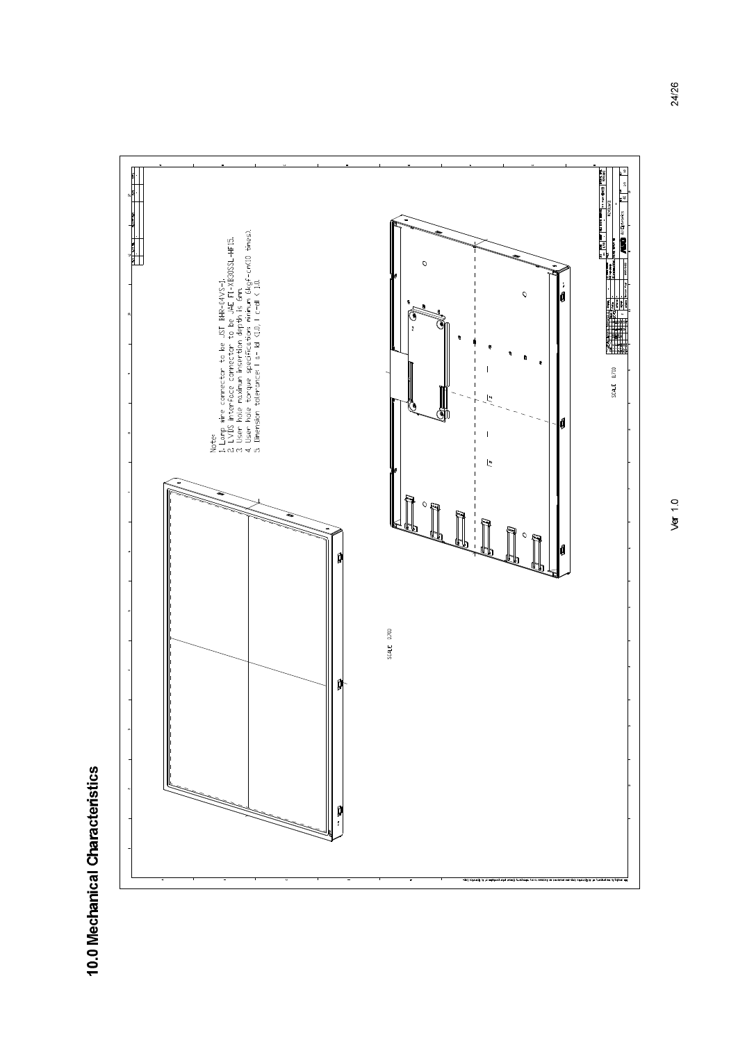

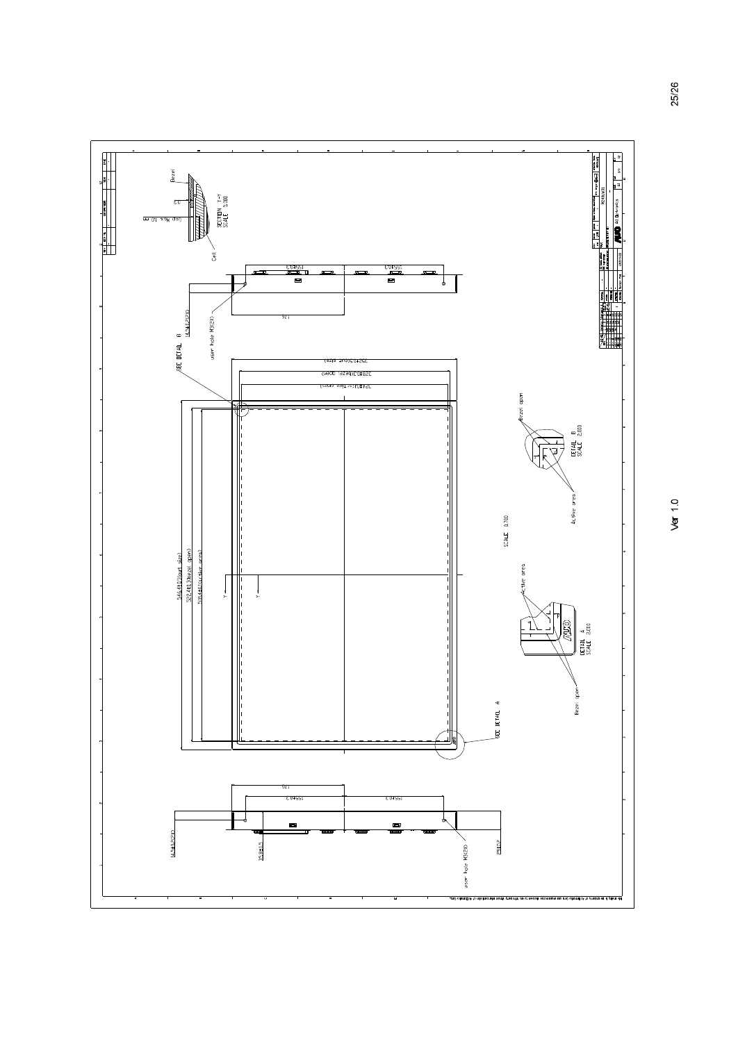